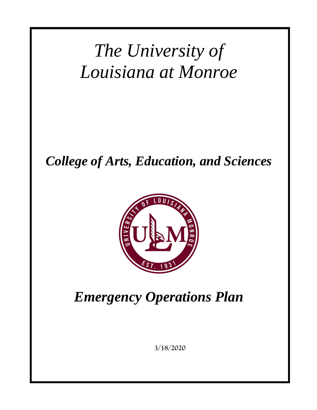# *The University of Louisiana at Monroe*

*College of Arts, Education, and Sciences*



*Emergency Operations Plan*

**3/18/2020**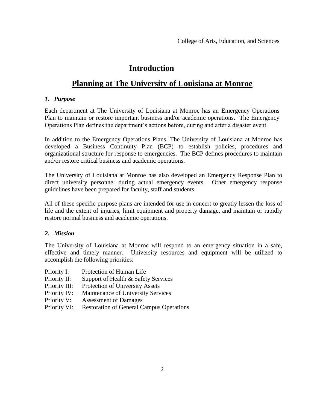### **Introduction**

## **Planning at The University of Louisiana at Monroe**

#### *1. Purpose*

Each department at The University of Louisiana at Monroe has an Emergency Operations Plan to maintain or restore important business and/or academic operations. The Emergency Operations Plan defines the department's actions before, during and after a disaster event.

In addition to the Emergency Operations Plans, The University of Louisiana at Monroe has developed a Business Continuity Plan (BCP) to establish policies, procedures and organizational structure for response to emergencies. The BCP defines procedures to maintain and/or restore critical business and academic operations.

The University of Louisiana at Monroe has also developed an Emergency Response Plan to direct university personnel during actual emergency events. Other emergency response guidelines have been prepared for faculty, staff and students.

All of these specific purpose plans are intended for use in concert to greatly lessen the loss of life and the extent of injuries, limit equipment and property damage, and maintain or rapidly restore normal business and academic operations.

#### *2. Mission*

The University of Louisiana at Monroe will respond to an emergency situation in a safe, effective and timely manner. University resources and equipment will be utilized to accomplish the following priorities:

- Priority I: Protection of Human Life
- Priority II: Support of Health & Safety Services
- Priority III: Protection of University Assets
- Priority IV: Maintenance of University Services
- Priority V: Assessment of Damages
- Priority VI: Restoration of General Campus Operations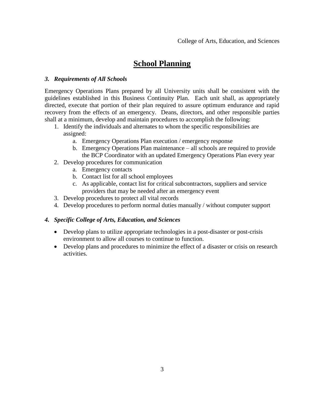# **School Planning**

#### *3. Requirements of All Schools*

Emergency Operations Plans prepared by all University units shall be consistent with the guidelines established in this Business Continuity Plan. Each unit shall, as appropriately directed, execute that portion of their plan required to assure optimum endurance and rapid recovery from the effects of an emergency. Deans, directors, and other responsible parties shall at a minimum, develop and maintain procedures to accomplish the following:

- 1. Identify the individuals and alternates to whom the specific responsibilities are assigned:
	- a. Emergency Operations Plan execution / emergency response
	- b. Emergency Operations Plan maintenance all schools are required to provide the BCP Coordinator with an updated Emergency Operations Plan every year
- 2. Develop procedures for communication
	- a. Emergency contacts
	- b. Contact list for all school employees
	- c. As applicable, contact list for critical subcontractors, suppliers and service providers that may be needed after an emergency event
- 3. Develop procedures to protect all vital records
- 4. Develop procedures to perform normal duties manually / without computer support

#### *4. Specific College of Arts, Education, and Sciences*

- Develop plans to utilize appropriate technologies in a post-disaster or post-crisis environment to allow all courses to continue to function.
- Develop plans and procedures to minimize the effect of a disaster or crisis on research activities.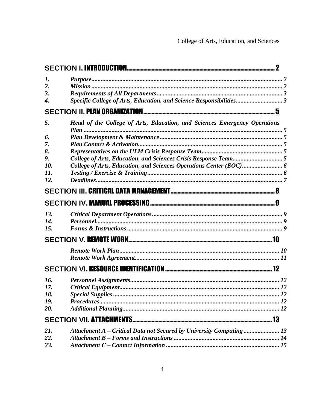| 1.                 |                                                                           |  |
|--------------------|---------------------------------------------------------------------------|--|
| $\overline{2}$ .   |                                                                           |  |
| 3.                 |                                                                           |  |
| $\boldsymbol{4}$ . | Specific College of Arts, Education, and Science Responsibilities3        |  |
|                    |                                                                           |  |
| 5.                 | Head of the College of Arts, Education, and Sciences Emergency Operations |  |
| 6.                 |                                                                           |  |
| 7.                 |                                                                           |  |
| 8.                 |                                                                           |  |
| 9.                 |                                                                           |  |
| 10.                |                                                                           |  |
| 11.                |                                                                           |  |
| 12.                |                                                                           |  |
|                    |                                                                           |  |
|                    |                                                                           |  |
| 13.                |                                                                           |  |
| 14.                |                                                                           |  |
| 15.                |                                                                           |  |
|                    |                                                                           |  |
|                    |                                                                           |  |
|                    |                                                                           |  |
|                    |                                                                           |  |
|                    |                                                                           |  |
| 16.                |                                                                           |  |
| 17.                |                                                                           |  |
| 18.                |                                                                           |  |
| 19.<br>20.         |                                                                           |  |
|                    |                                                                           |  |
|                    |                                                                           |  |
| 21.                | Attachment A - Critical Data not Secured by University Computing 13       |  |
| 22.                |                                                                           |  |
| 23.                |                                                                           |  |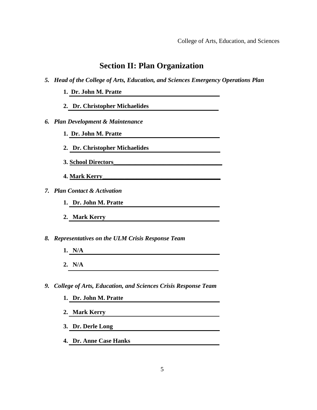### **Section II: Plan Organization**

- *5. Head of the College of Arts, Education, and Sciences Emergency Operations Plan*
	- **1. Dr. John M. Pratte**
	- **2. Dr. Christopher Michaelides**
- *6. Plan Development & Maintenance*
	- **1. Dr. John M. Pratte**
	- **2. Dr. Christopher Michaelides**
	- **3. School Directors\_\_\_\_\_\_\_\_\_\_\_\_\_\_\_\_\_\_\_\_\_\_\_\_\_\_\_\_\_\_\_\_\_\_\_**
	- **4. Mark Kerry\_\_\_\_\_\_\_\_\_\_\_\_\_\_\_\_\_\_\_\_\_\_\_\_\_\_\_\_\_\_\_\_\_\_\_\_\_\_**
- *7. Plan Contact & Activation*
	- **1. Dr. John M. Pratte**
	- **2. Mark Kerry**
- *8. Representatives on the ULM Crisis Response Team*
	- **1. N/A**
	- **2. N/A**
- *9. College of Arts, Education, and Sciences Crisis Response Team*
	- **1. Dr. John M. Pratte**
	- **2. Mark Kerry**
	- **3. Dr. Derle Long**
	- **4. Dr. Anne Case Hanks**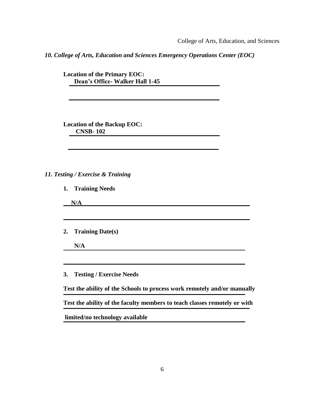College of Arts, Education, and Sciences

*10. College of Arts, Education and Sciences Emergency Operations Center (EOC)*

**Location of the Primary EOC: Dean's Office- Walker Hall 1-45** 

**Location of the Backup EOC: CNSB- 102** 

#### *11. Testing / Exercise & Training*

**1. Training Needs** 

|    | N/A                             |
|----|---------------------------------|
|    | 2. Training Date(s)             |
|    | N/A                             |
| 3. | <b>Testing / Exercise Needs</b> |

**Test the ability of the Schools to process work remotely and/or manually** 

**Test the ability of the faculty members to teach classes remotely or with** 

**limited/no technology available**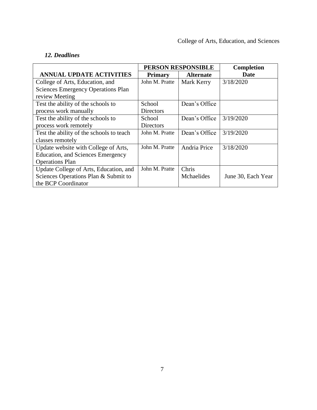#### *12. Deadlines*

|                                           | PERSON RESPONSIBLE |                  | <b>Completion</b>  |
|-------------------------------------------|--------------------|------------------|--------------------|
| <b>ANNUAL UPDATE ACTIVITIES</b>           | <b>Primary</b>     | <b>Alternate</b> | Date               |
| College of Arts, Education, and           | John M. Pratte     | Mark Kerry       | 3/18/2020          |
| <b>Sciences Emergency Operations Plan</b> |                    |                  |                    |
| review Meeting                            |                    |                  |                    |
| Test the ability of the schools to        | School             | Dean's Office    |                    |
| process work manually                     | <b>Directors</b>   |                  |                    |
| Test the ability of the schools to        | School             | Dean's Office    | 3/19/2020          |
| process work remotely                     | <b>Directors</b>   |                  |                    |
| Test the ability of the schools to teach  | John M. Pratte     | Dean's Office    | 3/19/2020          |
| classes remotely                          |                    |                  |                    |
| Update website with College of Arts,      | John M. Pratte     | Andria Price     | 3/18/2020          |
| Education, and Sciences Emergency         |                    |                  |                    |
| <b>Operations Plan</b>                    |                    |                  |                    |
| Update College of Arts, Education, and    | John M. Pratte     | Chris            |                    |
| Sciences Operations Plan & Submit to      |                    | Mchaelides       | June 30, Each Year |
| the BCP Coordinator                       |                    |                  |                    |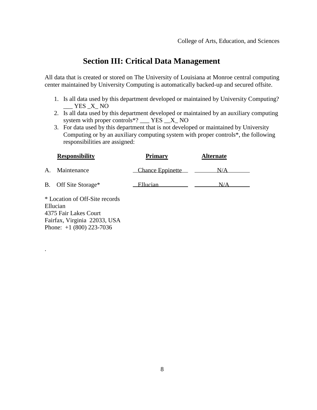# **Section III: Critical Data Management**

All data that is created or stored on The University of Louisiana at Monroe central computing center maintained by University Computing is automatically backed-up and secured offsite.

- 1. Is all data used by this department developed or maintained by University Computing? YES X NO
- 2. Is all data used by this department developed or maintained by an auxiliary computing system with proper controls\*?  $Z$  YES  $X$  NO
- 3. For data used by this department that is not developed or maintained by University Computing or by an auxiliary computing system with proper controls\*, the following responsibilities are assigned:

|    | <b>Responsibility</b> | <b>Primary</b>   | <b>Alternate</b> |
|----|-----------------------|------------------|------------------|
| А. | Maintenance           | Chance Eppinette | N/A              |
|    | B. Off Site Storage*  | Ellucian         |                  |

\* Location of Off-Site records Ellucian 4375 Fair Lakes Court Fairfax, Virginia 22033, USA Phone: +1 (800) 223-7036

.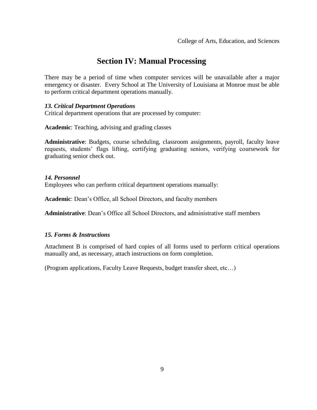# **Section IV: Manual Processing**

There may be a period of time when computer services will be unavailable after a major emergency or disaster. Every School at The University of Louisiana at Monroe must be able to perform critical department operations manually.

#### *13. Critical Department Operations*

Critical department operations that are processed by computer:

**Academic**: Teaching, advising and grading classes

**Administrative**: Budgets, course scheduling, classroom assignments, payroll, faculty leave requests, students' flags lifting, certifying graduating seniors, verifying coursework for graduating senior check out.

#### *14. Personnel*

Employees who can perform critical department operations manually:

**Academic**: Dean's Office, all School Directors, and faculty members

**Administrative**: Dean's Office all School Directors, and administrative staff members

#### *15. Forms & Instructions*

Attachment B is comprised of hard copies of all forms used to perform critical operations manually and, as necessary, attach instructions on form completion.

(Program applications, Faculty Leave Requests, budget transfer sheet, etc…)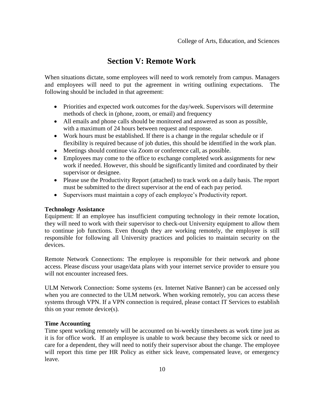# **Section V: Remote Work**

When situations dictate, some employees will need to work remotely from campus. Managers and employees will need to put the agreement in writing outlining expectations. The following should be included in that agreement:

- Priorities and expected work outcomes for the day/week. Supervisors will determine methods of check in (phone, zoom, or email) and frequency
- All emails and phone calls should be monitored and answered as soon as possible, with a maximum of 24 hours between request and response.
- Work hours must be established. If there is a change in the regular schedule or if flexibility is required because of job duties, this should be identified in the work plan.
- Meetings should continue via Zoom or conference call, as possible.
- Employees may come to the office to exchange completed work assignments for new work if needed. However, this should be significantly limited and coordinated by their supervisor or designee.
- Please use the Productivity Report (attached) to track work on a daily basis. The report must be submitted to the direct supervisor at the end of each pay period.
- Supervisors must maintain a copy of each employee's Productivity report.

#### **Technology Assistance**

Equipment: If an employee has insufficient computing technology in their remote location, they will need to work with their supervisor to check-out University equipment to allow them to continue job functions. Even though they are working remotely, the employee is still responsible for following all University practices and policies to maintain security on the devices.

Remote Network Connections: The employee is responsible for their network and phone access. Please discuss your usage/data plans with your internet service provider to ensure you will not encounter increased fees.

ULM Network Connection: Some systems (ex. Internet Native Banner) can be accessed only when you are connected to the ULM network. When working remotely, you can access these systems through VPN. If a VPN connection is required, please contact IT Services to establish this on your remote device(s).

#### **Time Accounting**

Time spent working remotely will be accounted on bi-weekly timesheets as work time just as it is for office work. If an employee is unable to work because they become sick or need to care for a dependent, they will need to notify their supervisor about the change. The employee will report this time per HR Policy as either sick leave, compensated leave, or emergency leave.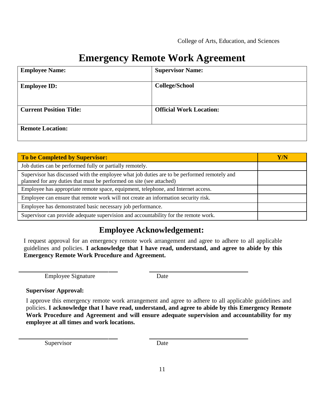# **Emergency Remote Work Agreement**

| <b>Employee Name:</b>          | <b>Supervisor Name:</b>        |
|--------------------------------|--------------------------------|
| <b>Employee ID:</b>            | <b>College/School</b>          |
| <b>Current Position Title:</b> | <b>Official Work Location:</b> |
| <b>Remote Location:</b>        |                                |

| To be Completed by Supervisor:                                                                                                                                      | Y/N |
|---------------------------------------------------------------------------------------------------------------------------------------------------------------------|-----|
| Job duties can be performed fully or partially remotely.                                                                                                            |     |
| Supervisor has discussed with the employee what job duties are to be performed remotely and<br>planned for any duties that must be performed on site (see attached) |     |
| Employee has appropriate remote space, equipment, telephone, and Internet access.                                                                                   |     |
| Employee can ensure that remote work will not create an information security risk.                                                                                  |     |
| Employee has demonstrated basic necessary job performance.                                                                                                          |     |
| Supervisor can provide adequate supervision and accountability for the remote work.                                                                                 |     |

# **Employee Acknowledgement:**

I request approval for an emergency remote work arrangement and agree to adhere to all applicable guidelines and policies. **I acknowledge that I have read, understand, and agree to abide by this Emergency Remote Work Procedure and Agreement.**

Employee Signature Date

#### **Supervisor Approval:**

I approve this emergency remote work arrangement and agree to adhere to all applicable guidelines and policies. **I acknowledge that I have read, understand, and agree to abide by this Emergency Remote Work Procedure and Agreement and will ensure adequate supervision and accountability for my employee at all times and work locations.**

Supervisor Date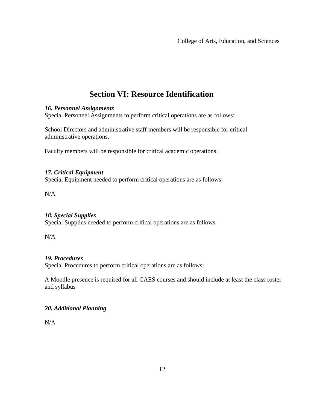# **Section VI: Resource Identification**

#### *16. Personnel Assignments*

Special Personnel Assignments to perform critical operations are as follows:

School Directors and administrative staff members will be responsible for critical administrative operations.

Faculty members will be responsible for critical academic operations.

#### *17. Critical Equipment*

Special Equipment needed to perform critical operations are as follows:

N/A

#### *18. Special Supplies*

Special Supplies needed to perform critical operations are as follows:

N/A

#### *19. Procedures*

Special Procedures to perform critical operations are as follows:

A Moodle presence is required for all CAES courses and should include at least the class roster and syllabus

#### *20. Additional Planning*

N/A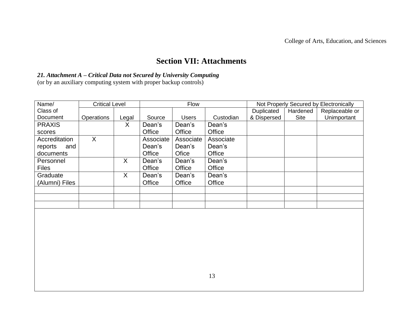# **Section VII: Attachments**

#### *21. Attachment A – Critical Data not Secured by University Computing*

(or by an auxiliary computing system with proper backup controls)

| Name/          | <b>Critical Level</b> |         | <b>Flow</b> |              |           |             | Not Properly Secured by Electronically |                |
|----------------|-----------------------|---------|-------------|--------------|-----------|-------------|----------------------------------------|----------------|
| Class of       |                       |         |             |              |           | Duplicated  | Hardened                               | Replaceable or |
| Document       | <b>Operations</b>     | Legal   | Source      | <b>Users</b> | Custodian | & Dispersed | <b>Site</b>                            | Unimportant    |
| <b>PRAXIS</b>  |                       | X       | Dean's      | Dean's       | Dean's    |             |                                        |                |
| scores         |                       |         | Office      | Office       | Office    |             |                                        |                |
| Accreditation  | X                     |         | Associate   | Associate    | Associate |             |                                        |                |
| reports<br>and |                       |         | Dean's      | Dean's       | Dean's    |             |                                        |                |
| documents      |                       |         | Office      | Ofice        | Office    |             |                                        |                |
| Personnel      |                       | $\sf X$ | Dean's      | Dean's       | Dean's    |             |                                        |                |
| <b>Files</b>   |                       |         | Office      | Office       | Office    |             |                                        |                |
| Graduate       |                       | X       | Dean's      | Dean's       | Dean's    |             |                                        |                |
| (Alumni) Files |                       |         | Office      | Office       | Office    |             |                                        |                |
|                |                       |         |             |              |           |             |                                        |                |
|                |                       |         |             |              |           |             |                                        |                |
|                |                       |         |             |              |           |             |                                        |                |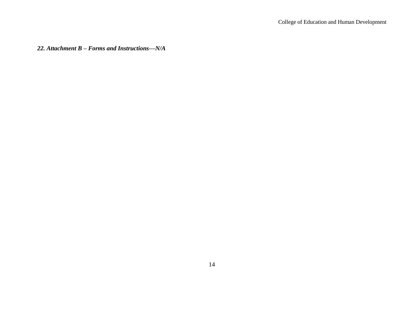*22. Attachment B – Forms and Instructions—N/A*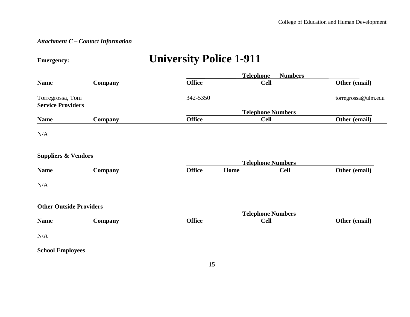#### *Attachment C – Contact Information*

# **Emergency: University Police 1-911**

|                                              |                | <b>Telephone</b><br><b>Numbers</b> |      |                          |                     |  |
|----------------------------------------------|----------------|------------------------------------|------|--------------------------|---------------------|--|
| <b>Name</b>                                  | Company        | <b>Office</b>                      |      | <b>Cell</b>              | Other (email)       |  |
| Torregrossa, Tom<br><b>Service Providers</b> |                | 342-5350                           |      |                          | torregrossa@ulm.edu |  |
|                                              |                |                                    |      | <b>Telephone Numbers</b> |                     |  |
| <b>Name</b>                                  | Company        | <b>Office</b>                      |      | <b>Cell</b>              | Other (email)       |  |
| N/A                                          |                |                                    |      |                          |                     |  |
| <b>Suppliers &amp; Vendors</b>               |                |                                    |      | <b>Telephone Numbers</b> |                     |  |
| <b>Name</b>                                  | Company        | <b>Office</b>                      | Home | <b>Cell</b>              | Other (email)       |  |
| N/A                                          |                |                                    |      |                          |                     |  |
| <b>Other Outside Providers</b>               |                |                                    |      | <b>Telephone Numbers</b> |                     |  |
| <b>Name</b>                                  | <b>Company</b> | <b>Office</b>                      |      | <b>Cell</b>              | Other (email)       |  |
| N/A                                          |                |                                    |      |                          |                     |  |

**School Employees**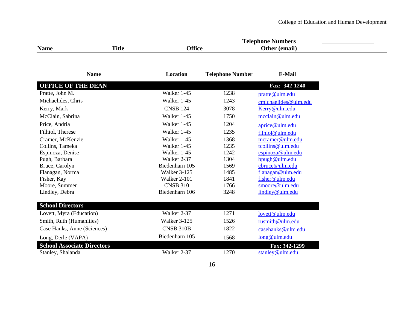|             |       | mbers<br>`alar<br>.<br>. |                 |  |
|-------------|-------|--------------------------|-----------------|--|
| <b>Name</b> | Title | . PP.<br>ttire           | `lthar<br>'emaı |  |

| <b>Name</b>                       | <b>Location</b> | <b>Telephone Number</b> | <b>E-Mail</b>        |
|-----------------------------------|-----------------|-------------------------|----------------------|
| <b>OFFICE OF THE DEAN</b>         |                 |                         | Fax: 342-1240        |
| Pratte, John M.                   | Walker 1-45     | 1238                    | pratte@ulm.edu       |
| Michaelides, Chris                | Walker 1-45     | 1243                    | cmichaelides@ulm.edu |
| Kerry, Mark                       | <b>CNSB 124</b> | 3078                    | Kerry@ulm.edu        |
| McClain, Sabrina                  | Walker 1-45     | 1750                    | mcclain@ulm.edu      |
| Price, Andria                     | Walker 1-45     | 1204                    | aprice@ulm.edu       |
| Filhiol, Therese                  | Walker 1-45     | 1235                    | filhiol@ulm.edu      |
| Cramer, McKenzie                  | Walker 1-45     | 1368                    | mcramer@ulm.edu      |
| Collins, Tameka                   | Walker 1-45     | 1235                    | tcollins@ulm.edu     |
| Espinoza, Denise                  | Walker 1-45     | 1242                    | espinoza@ulm.edu     |
| Pugh, Barbara                     | Walker 2-37     | 1304                    | bpugh@ulm.edu        |
| Bruce, Carolyn                    | Biedenharn 105  | 1569                    | cbruce@ulm.edu       |
| Flanagan, Norma                   | Walker 3-125    | 1485                    | flanagan@ulm.edu     |
| Fisher, Kay                       | Walker 2-101    | 1841                    | fisher@ulm.edu       |
| Moore, Summer                     | <b>CNSB 310</b> | 1766                    | smoore@ulm.edu       |
| Lindley, Debra                    | Biedenharn 106  | 3248                    | lindley@ulm.edu      |
| <b>School Directors</b>           |                 |                         |                      |
| Lovett, Myra (Education)          | Walker 2-37     | 1271                    | lovett@ulm.edu       |
| Smith, Ruth (Humanities)          | Walker 3-125    | 1526                    | rusmith@ulm.edu      |
| Case Hanks, Anne (Sciences)       | CNSB 310B       | 1822                    | casehanks@ulm.edu    |
| Long, Derle (VAPA)                | Biedenharn 105  | 1568                    | long@ulm.edu         |
| <b>School Associate Directors</b> |                 |                         | Fax: 342-1299        |
| Stanley, Shalanda                 | Walker 2-37     | 1270                    | stanley@ulm.edu      |